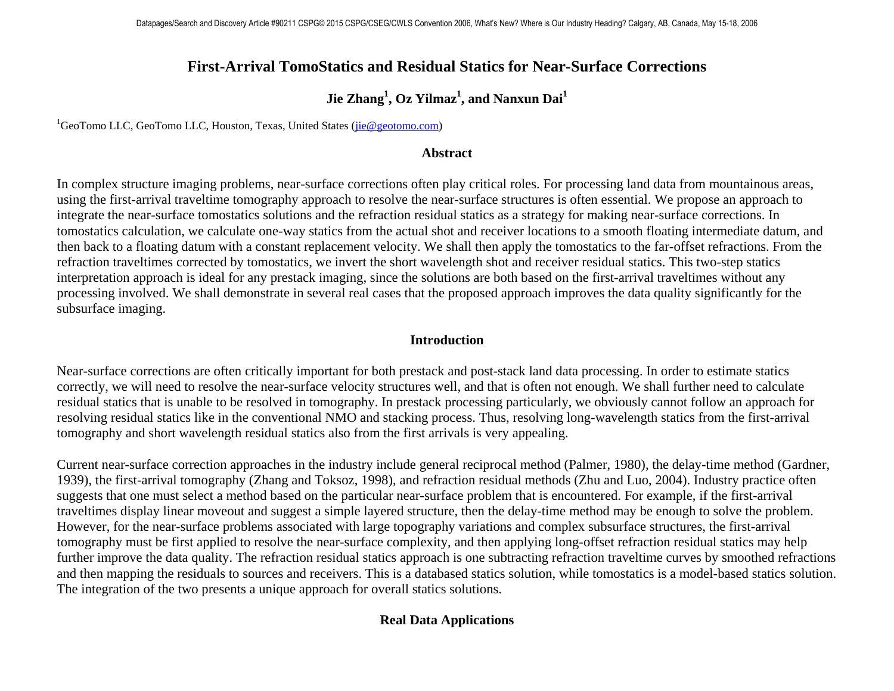# **First-Arrival TomoStatics and Residual Statics for Near-Surface Corrections**

# **Jie Zhang1 , Oz Yilmaz1 , and Nanxun Dai<sup>1</sup>**

<sup>1</sup>GeoTomo LLC, GeoTomo LLC, Houston, Texas, United States [\(jie@geotomo.com\)](mailto:jie@geotomo.com)

#### **Abstract**

In complex structure imaging problems, near-surface corrections often play critical roles. For processing land data from mountainous areas, using the first-arrival traveltime tomography approach to resolve the near-surface structures is often essential. We propose an approach to integrate the near-surface tomostatics solutions and the refraction residual statics as a strategy for making near-surface corrections. In tomostatics calculation, we calculate one-way statics from the actual shot and receiver locations to a smooth floating intermediate datum, and then back to a floating datum with a constant replacement velocity. We shall then apply the tomostatics to the far-offset refractions. From the refraction traveltimes corrected by tomostatics, we invert the short wavelength shot and receiver residual statics. This two-step statics interpretation approach is ideal for any prestack imaging, since the solutions are both based on the first-arrival traveltimes without any processing involved. We shall demonstrate in several real cases that the proposed approach improves the data quality significantly for the subsurface imaging.

### **Introduction**

Near-surface corrections are often critically important for both prestack and post-stack land data processing. In order to estimate statics correctly, we will need to resolve the near-surface velocity structures well, and that is often not enough. We shall further need to calculate residual statics that is unable to be resolved in tomography. In prestack processing particularly, we obviously cannot follow an approach for resolving residual statics like in the conventional NMO and stacking process. Thus, resolving long-wavelength statics from the first-arrival tomography and short wavelength residual statics also from the first arrivals is very appealing.

Current near-surface correction approaches in the industry include general reciprocal method (Palmer, 1980), the delay-time method (Gardner, 1939), the first-arrival tomography (Zhang and Toksoz, 1998), and refraction residual methods (Zhu and Luo, 2004). Industry practice often suggests that one must select a method based on the particular near-surface problem that is encountered. For example, if the first-arrival traveltimes display linear moveout and suggest a simple layered structure, then the delay-time method may be enough to solve the problem. However, for the near-surface problems associated with large topography variations and complex subsurface structures, the first-arrival tomography must be first applied to resolve the near-surface complexity, and then applying long-offset refraction residual statics may help further improve the data quality. The refraction residual statics approach is one subtracting refraction traveltime curves by smoothed refractions and then mapping the residuals to sources and receivers. This is a databased statics solution, while tomostatics is a model-based statics solution. The integration of the two presents a unique approach for overall statics solutions.

# **Real Data Applications**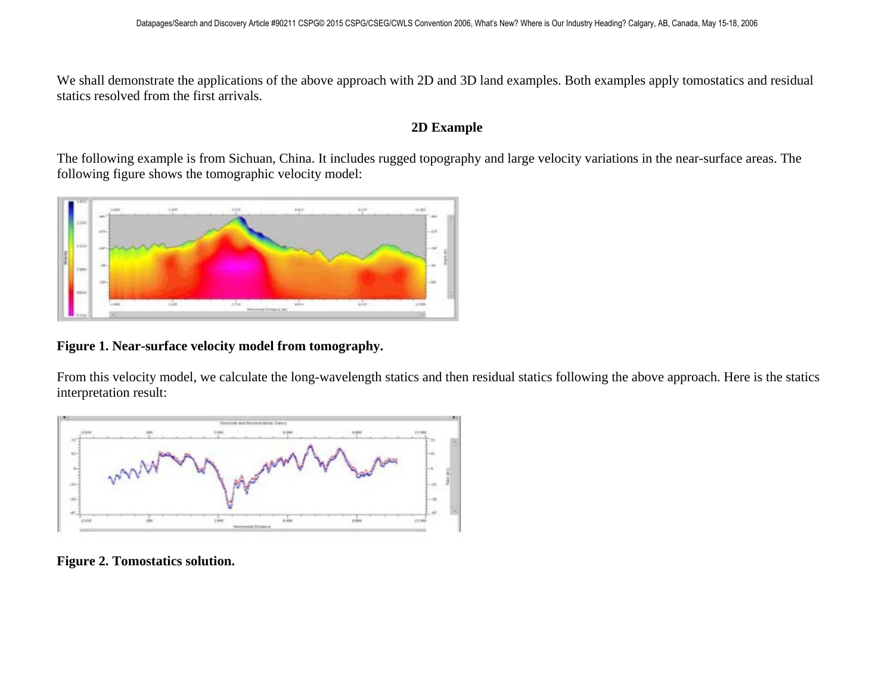We shall demonstrate the applications of the above approach with 2D and 3D land examples. Both examples apply tomostatics and residual statics resolved from the first arrivals.

## **2D Example**

The following example is from Sichuan, China. It includes rugged topography and large velocity variations in the near-surface areas. The following figure shows the tomographic velocity model:



#### **Figure 1. Near-surface velocity model from tomography.**

From this velocity model, we calculate the long-wavelength statics and then residual statics following the above approach. Here is the statics interpretation result:



**Figure 2. Tomostatics solution.**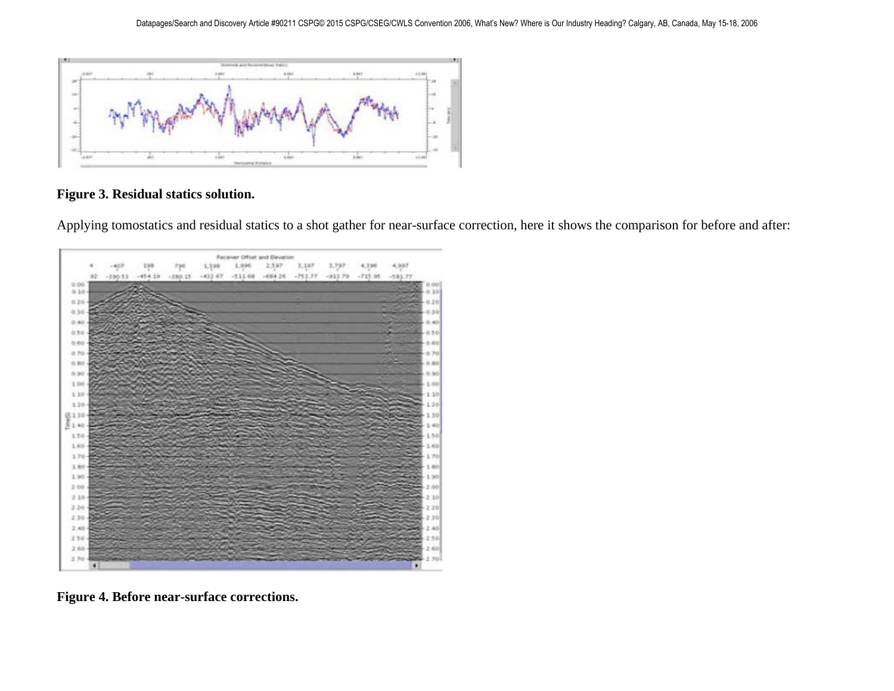

# **Figure 3. Residual statics solution.**

Applying tomostatics and residual statics to a shot gather for near-surface correction, here it shows the comparison for before and after:



**Figure 4. Before near-surface corrections.**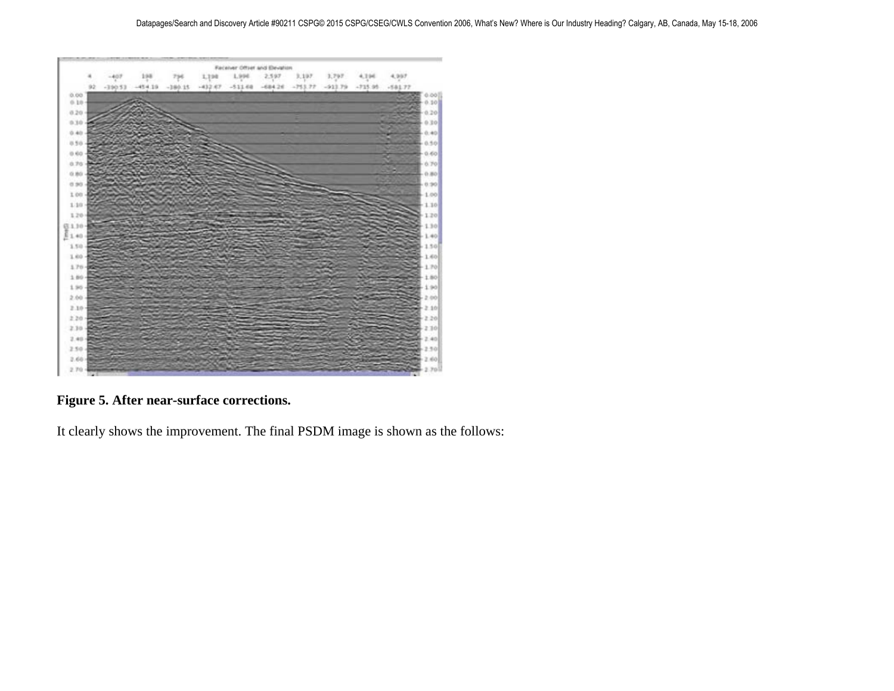

# **Figure 5. After near-surface corrections.**

It clearly shows the improvement. The final PSDM image is shown as the follows: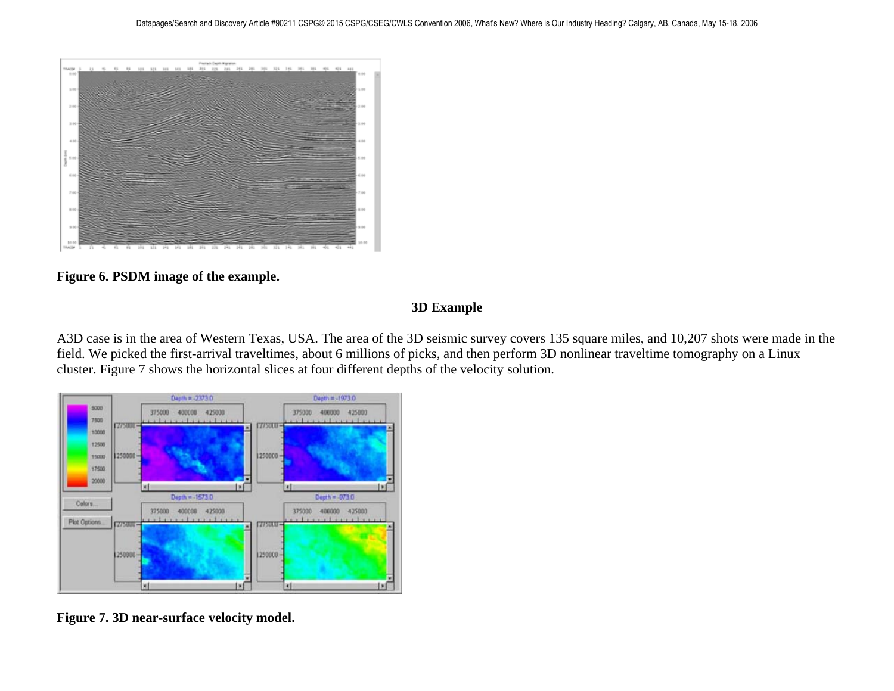

**Figure 6. PSDM image of the example.** 

## **3D Example**

A3D case is in the area of Western Texas, USA. The area of the 3D seismic survey covers 135 square miles, and 10,207 shots were made in the field. We picked the first-arrival traveltimes, about 6 millions of picks, and then perform 3D nonlinear traveltime tomography on a Linux cluster. Figure 7 shows the horizontal slices at four different depths of the velocity solution.



**Figure 7. 3D near-surface velocity model.**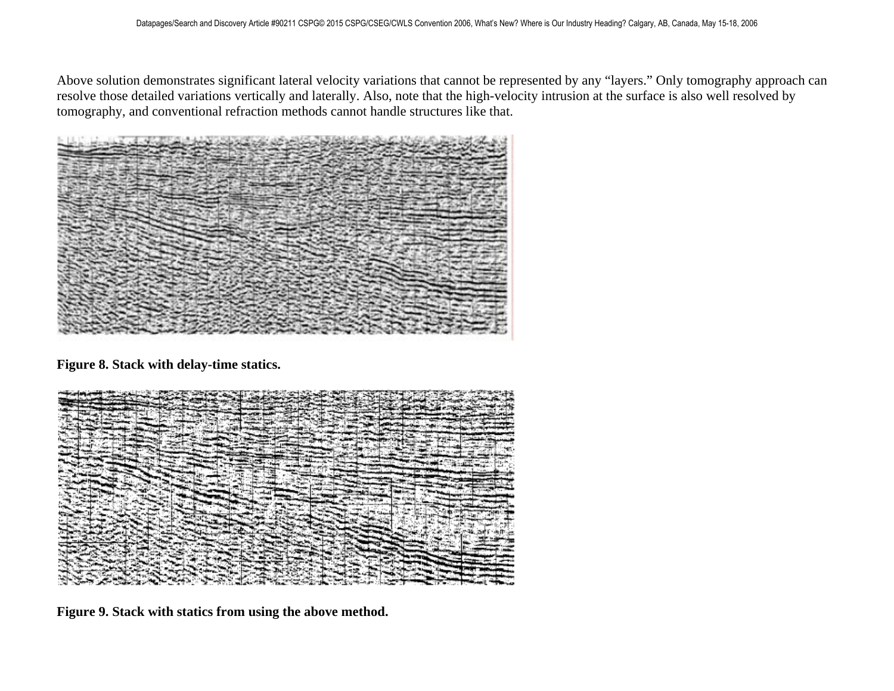Above solution demonstrates significant lateral velocity variations that cannot be represented by any "layers." Only tomography approach can resolve those detailed variations vertically and laterally. Also, note that the high-velocity intrusion at the surface is also well resolved by tomography, and conventional refraction methods cannot handle structures like that.



**Figure 8. Stack with delay-time statics.**



**Figure 9. Stack with statics from using the above method.**